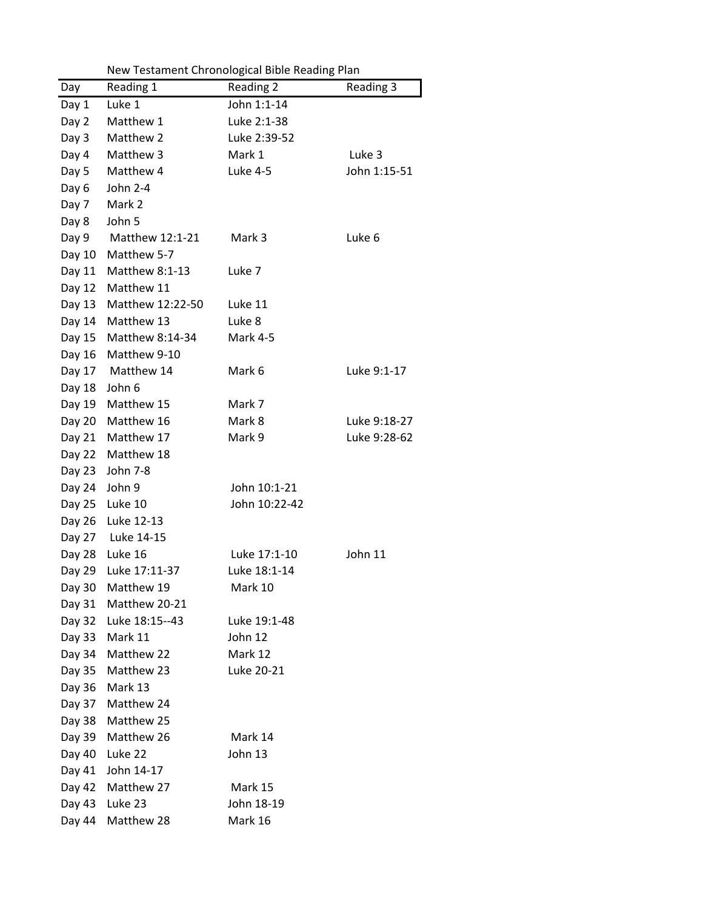| Reading 3    |
|--------------|
|              |
|              |
|              |
| Luke 3       |
| John 1:15-51 |
|              |
|              |
|              |
| Luke 6       |
|              |
|              |
|              |
|              |
|              |
|              |
|              |
| Luke 9:1-17  |
|              |
|              |
| Luke 9:18-27 |
| Luke 9:28-62 |
|              |
|              |
|              |
|              |
|              |
|              |
| John 11      |
|              |
|              |
|              |
|              |
|              |
|              |
|              |
|              |
|              |
|              |
|              |
|              |
|              |
|              |
|              |
|              |
|              |